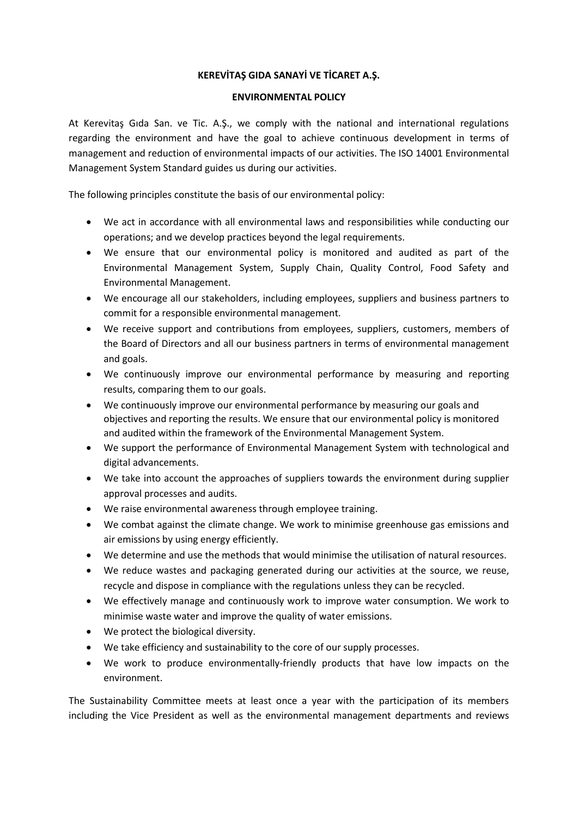## **KEREVİTAŞ GIDA SANAYİ VE TİCARET A.Ş.**

## **ENVIRONMENTAL POLICY**

At Kerevitaş Gıda San. ve Tic. A.Ş., we comply with the national and international regulations regarding the environment and have the goal to achieve continuous development in terms of management and reduction of environmental impacts of our activities. The ISO 14001 Environmental Management System Standard guides us during our activities.

The following principles constitute the basis of our environmental policy:

- We act in accordance with all environmental laws and responsibilities while conducting our operations; and we develop practices beyond the legal requirements.
- We ensure that our environmental policy is monitored and audited as part of the Environmental Management System, Supply Chain, Quality Control, Food Safety and Environmental Management.
- We encourage all our stakeholders, including employees, suppliers and business partners to commit for a responsible environmental management.
- We receive support and contributions from employees, suppliers, customers, members of the Board of Directors and all our business partners in terms of environmental management and goals.
- We continuously improve our environmental performance by measuring and reporting results, comparing them to our goals.
- We continuously improve our environmental performance by measuring our goals and objectives and reporting the results. We ensure that our environmental policy is monitored and audited within the framework of the Environmental Management System.
- We support the performance of Environmental Management System with technological and digital advancements.
- We take into account the approaches of suppliers towards the environment during supplier approval processes and audits.
- We raise environmental awareness through employee training.
- We combat against the climate change. We work to minimise greenhouse gas emissions and air emissions by using energy efficiently.
- We determine and use the methods that would minimise the utilisation of natural resources.
- We reduce wastes and packaging generated during our activities at the source, we reuse, recycle and dispose in compliance with the regulations unless they can be recycled.
- We effectively manage and continuously work to improve water consumption. We work to minimise waste water and improve the quality of water emissions.
- We protect the biological diversity.
- We take efficiency and sustainability to the core of our supply processes.
- We work to produce environmentally-friendly products that have low impacts on the environment.

The Sustainability Committee meets at least once a year with the participation of its members including the Vice President as well as the environmental management departments and reviews